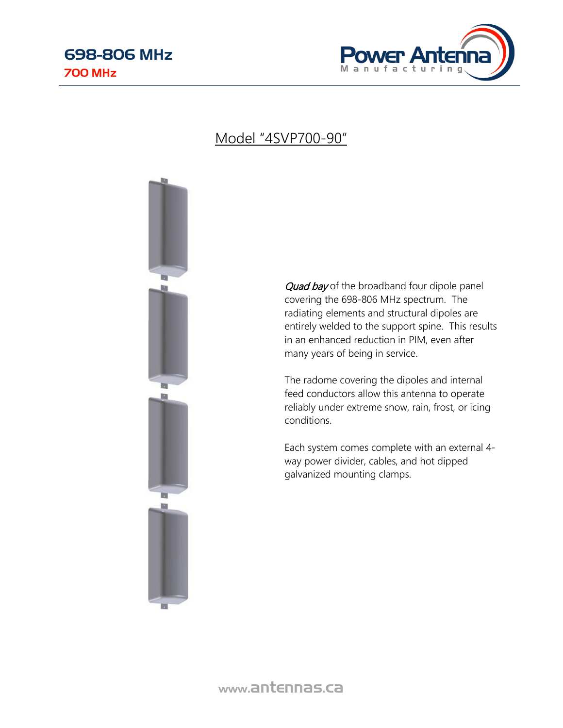

## Model "4SVP700-90"



Quad bay of the broadband four dipole panel covering the 698-806 MHz spectrum. The radiating elements and structural dipoles are entirely welded to the support spine. This results in an enhanced reduction in PIM, even after many years of being in service.

The radome covering the dipoles and internal feed conductors allow this antenna to operate reliably under extreme snow, rain, frost, or icing conditions.

Each system comes complete with an external 4 way power divider, cables, and hot dipped galvanized mounting clamps.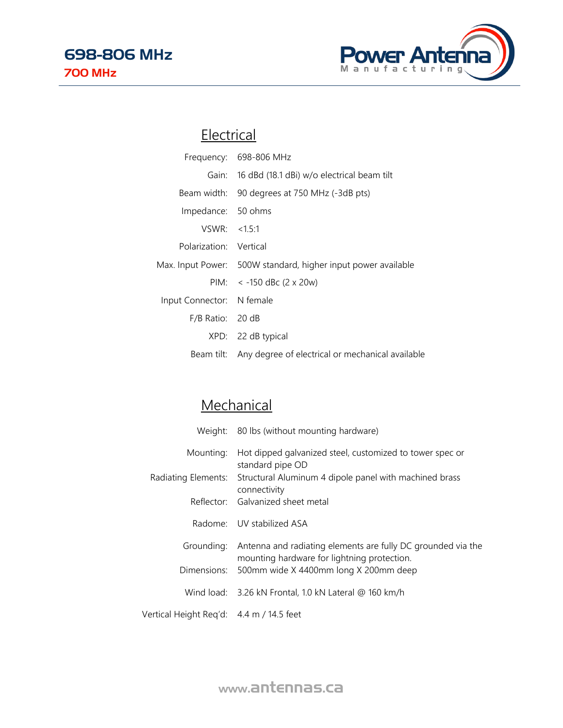

## **Electrical**

|                           | Frequency: 698-806 MHz                                        |
|---------------------------|---------------------------------------------------------------|
|                           | Gain: 16 dBd (18.1 dBi) w/o electrical beam tilt              |
|                           | Beam width: 90 degrees at 750 MHz (-3dB pts)                  |
| Impedance: 50 ohms        |                                                               |
| VSWR: < 1.5:1             |                                                               |
| Polarization: Vertical    |                                                               |
|                           | Max. Input Power: 500W standard, higher input power available |
|                           | PIM: $\lt$ -150 dBc (2 x 20w)                                 |
| Input Connector: N female |                                                               |
| $F/B$ Ratio: 20 dB        |                                                               |
|                           | XPD: 22 dB typical                                            |
|                           | Beam tilt: Any degree of electrical or mechanical available   |

## **Mechanical**

|                                          | Weight: 80 lbs (without mounting hardware)                                                                  |
|------------------------------------------|-------------------------------------------------------------------------------------------------------------|
| Mounting:                                | Hot dipped galvanized steel, customized to tower spec or<br>standard pipe OD                                |
|                                          | Radiating Elements: Structural Aluminum 4 dipole panel with machined brass<br>connectivity                  |
|                                          | Reflector: Galvanized sheet metal                                                                           |
|                                          | Radome: UV stabilized ASA                                                                                   |
| Grounding:                               | Antenna and radiating elements are fully DC grounded via the<br>mounting hardware for lightning protection. |
|                                          | Dimensions: 500mm wide X 4400mm long X 200mm deep                                                           |
|                                          | Wind load: 3.26 kN Frontal, 1.0 kN Lateral @ 160 km/h                                                       |
| Vertical Height Reg'd: 4.4 m / 14.5 feet |                                                                                                             |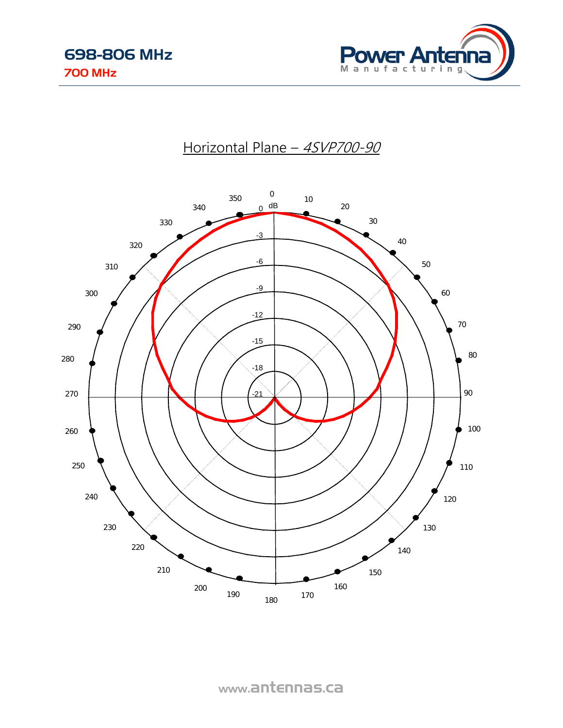





www.antennas.ca